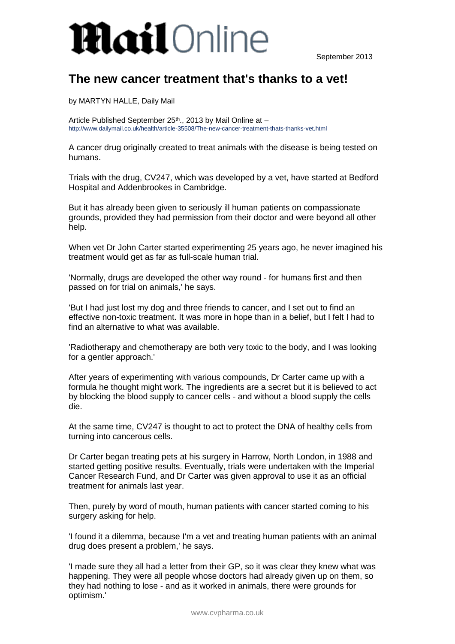## **Mail**Online

September 2013

## **The new cancer treatment that's thanks to a vet!**

by MARTYN HALLE, Daily Mail

Article Published September 25<sup>th</sup>., 2013 by Mail Online at http://www.dailymail.co.uk/health/article-35508/The-new-cancer-treatment-thats-thanks-vet.html

A cancer drug originally created to treat animals with the disease is being tested on humans.

Trials with the drug, CV247, which was developed by a vet, have started at Bedford Hospital and Addenbrookes in Cambridge.

But it has already been given to seriously ill human patients on compassionate grounds, provided they had permission from their doctor and were beyond all other help.

When vet Dr John Carter started experimenting 25 years ago, he never imagined his treatment would get as far as full-scale human trial.

'Normally, drugs are developed the other way round - for humans first and then passed on for trial on animals,' he says.

'But I had just lost my dog and three friends to cancer, and I set out to find an effective non-toxic treatment. It was more in hope than in a belief, but I felt I had to find an alternative to what was available.

'Radiotherapy and chemotherapy are both very toxic to the body, and I was looking for a gentler approach.'

After years of experimenting with various compounds, Dr Carter came up with a formula he thought might work. The ingredients are a secret but it is believed to act by blocking the blood supply to cancer cells - and without a blood supply the cells die.

At the same time, CV247 is thought to act to protect the DNA of healthy cells from turning into cancerous cells.

Dr Carter began treating pets at his surgery in Harrow, North London, in 1988 and started getting positive results. Eventually, trials were undertaken with the Imperial Cancer Research Fund, and Dr Carter was given approval to use it as an official treatment for animals last year.

Then, purely by word of mouth, human patients with cancer started coming to his surgery asking for help.

'I found it a dilemma, because I'm a vet and treating human patients with an animal drug does present a problem,' he says.

'I made sure they all had a letter from their GP, so it was clear they knew what was happening. They were all people whose doctors had already given up on them, so they had nothing to lose - and as it worked in animals, there were grounds for optimism.'